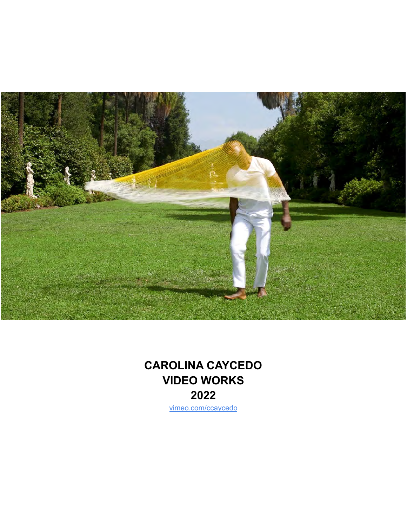

# **CAROLINA CAYCEDO VIDEO WORKS 2022**

[vimeo.com/ccaycedo](https://vimeo.com/user9997799)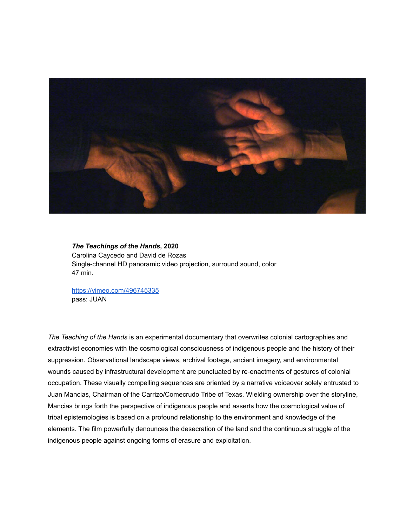

*The Teachings of the Hands***, 2020** Carolina Caycedo and David de Rozas Single-channel HD panoramic video projection, surround sound, color 47 min.

<https://vimeo.com/496745335> pass: JUAN

*The Teaching of the Hands* is an experimental documentary that overwrites colonial cartographies and extractivist economies with the cosmological consciousness of indigenous people and the history of their suppression. Observational landscape views, archival footage, ancient imagery, and environmental wounds caused by infrastructural development are punctuated by re-enactments of gestures of colonial occupation. These visually compelling sequences are oriented by a narrative voiceover solely entrusted to Juan Mancias, Chairman of the Carrizo/Comecrudo Tribe of Texas. Wielding ownership over the storyline, Mancias brings forth the perspective of indigenous people and asserts how the cosmological value of tribal epistemologies is based on a profound relationship to the environment and knowledge of the elements. The film powerfully denounces the desecration of the land and the continuous struggle of the indigenous people against ongoing forms of erasure and exploitation.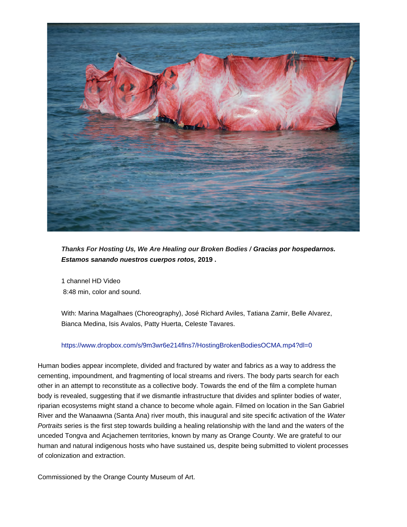

*Thanks For Hosting Us, We Are Healing our Broken Bodies / Gracias por hospedarnos. Estamos sanando nuestros cuerpos rotos,* **2019 .**

1 channel HD Video 8:48 min, color and sound.

With: Marina Magalhaes (Choreography), José Richard Aviles, Tatiana Zamir, Belle Alvarez, Bianca Medina, Isis Avalos, Patty Huerta, Celeste Tavares.

#### https://www.dropbox.com/s/9m3wr6e214flns7/HostingBrokenBodiesOCMA.mp4?dl=0

Human bodies appear incomplete, divided and fractured by water and fabrics as a way to address the cementing, impoundment, and fragmenting of local streams and rivers. The body parts search for each other in an attempt to reconstitute as a collective body. Towards the end of the film a complete human body is revealed, suggesting that if we dismantle infrastructure that divides and splinter bodies of water, riparian ecosystems might stand a chance to become whole again. Filmed on location in the San Gabriel River and the Wanaawna (Santa Ana) river mouth, this inaugural and site specific activation of the Water Portraits series is the first step towards building a healing relationship with the land and the waters of the unceded Tongva and Acjachemen territories, known by many as Orange County. We are grateful to our human and natural indigenous hosts who have sustained us, despite being submitted to violent processes of colonization and extraction.

Commissioned by the Orange County Museum of Art.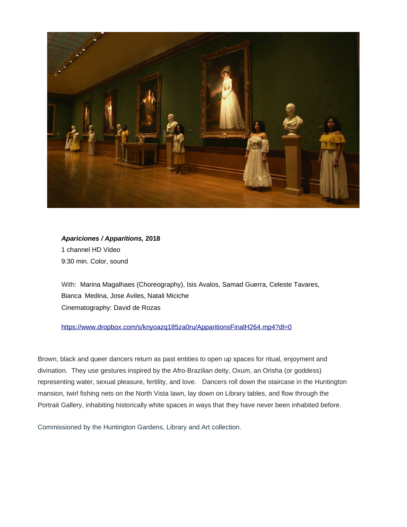

*Apariciones / Apparitions,* **2018** 1 channel HD Video 9:30 min. Color, sound

With: Marina Magalhaes (Choreography), Isis Avalos, Samad Guerra, Celeste Tavares, Bianca Medina, Jose Aviles, Natali Miciche Cinematography: David de Rozas

#### <https://www.dropbox.com/s/knyoazq185za0ru/ApparitionsFinalH264.mp4?dl=0>

Brown, black and queer dancers return as past entities to open up spaces for ritual, enjoyment and divination. They use gestures inspired by the Afro-Brazilian deity, Oxum, an Orisha (or goddess) representing water, sexual pleasure, fertility, and love. Dancers roll down the staircase in the Huntington mansion, twirl fishing nets on the North Vista lawn, lay down on Library tables, and flow through the Portrait Gallery, inhabiting historically white spaces in ways that they have never been inhabited before.

Commissioned by the Huntington Gardens, Library and Art collection.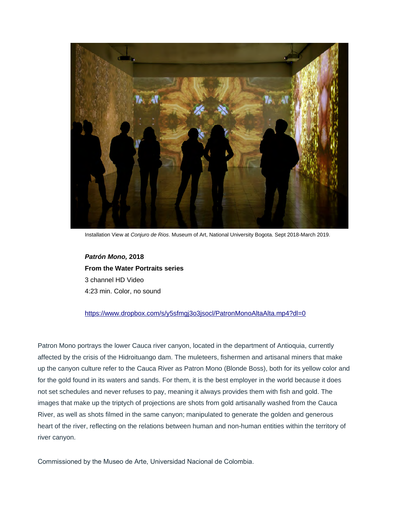

Installation View at *Conjuro de Rios*. Museum of Art, National University Bogota. Sept 2018-March 2019.

*Patrón Mono,* **2018 From the Water Portraits series** 3 channel HD Video 4:23 min. Color, no sound

#### <https://www.dropbox.com/s/y5sfmgj3o3jsocl/PatronMonoAltaAlta.mp4?dl=0>

Patron Mono portrays the lower Cauca river canyon, located in the department of Antioquia, currently affected by the crisis of the Hidroituango dam. The muleteers, fishermen and artisanal miners that make up the canyon culture refer to the Cauca River as Patron Mono (Blonde Boss), both for its yellow color and for the gold found in its waters and sands. For them, it is the best employer in the world because it does not set schedules and never refuses to pay, meaning it always provides them with fish and gold. The images that make up the triptych of projections are shots from gold artisanally washed from the Cauca River, as well as shots filmed in the same canyon; manipulated to generate the golden and generous heart of the river, reflecting on the relations between human and non-human entities within the territory of river canyon.

Commissioned by the Museo de Arte, Universidad Nacional de Colombia.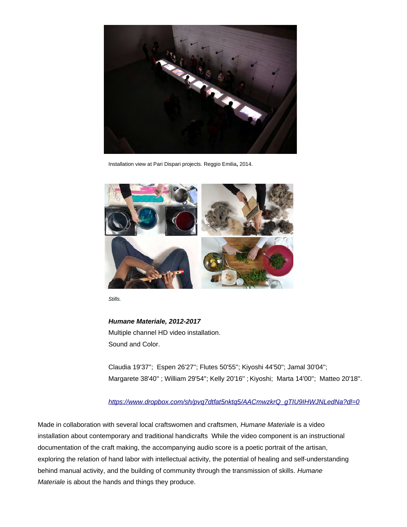

Installation view at Pari Dispari projects. Reggio Emilia**,** 2014.



*Stills.*

*Humane Materiale, 2012-2017* Multiple channel HD video installation. Sound and Color.

Claudia 19'37''; Espen 26'27''; Flutes 50'55''; Kiyoshi 44'50''; Jamal 30'04''; Margarete 38'40'' ; William 29'54''; Kelly 20'16'' ; Kiyoshi; Marta 14'00''; Matteo 20'18''.

## *[https://www.dropbox.com/sh/pvq7dtfat5nktq5/AACmwzkrQ\\_gTIU9IHWJNLedNa?dl=0](https://www.dropbox.com/sh/pvq7dtfat5nktq5/AACmwzkrQ_gTIU9IHWJNLedNa?dl=0)*

Made in collaboration with several local craftswomen and craftsmen, *Humane Materiale* is a video installation about contemporary and traditional handicrafts While the video component is an instructional documentation of the craft making, the accompanying audio score is a poetic portrait of the artisan, exploring the relation of hand labor with intellectual activity, the potential of healing and self-understanding behind manual activity, and the building of community through the transmission of skills. *Humane Materiale* is about the hands and things they produce.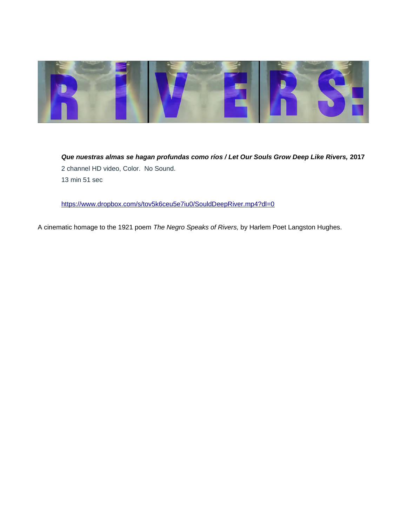

*Que nuestras almas se hagan profundas como ríos / Let Our Souls Grow Deep Like Rivers,* **2017** 2 channel HD video, Color. No Sound. 13 min 51 sec

<https://www.dropbox.com/s/tov5k6ceu5e7iu0/SouldDeepRiver.mp4?dl=0>

A cinematic homage to the 1921 poem *The Negro Speaks of Rivers,* by Harlem Poet Langston Hughes.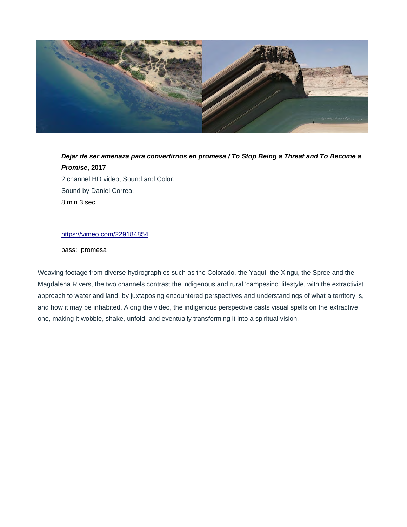

# *Dejar de ser amenaza para convertirnos en promesa / To Stop Being a Threat and To Become a Promise***, 2017** 2 channel HD video, Sound and Color. Sound by Daniel Correa. 8 min 3 sec

## <https://vimeo.com/229184854>

pass: promesa

Weaving footage from diverse hydrographies such as the Colorado, the Yaqui, the Xingu, the Spree and the Magdalena Rivers, the two channels contrast the indigenous and rural 'campesino' lifestyle, with the extractivist approach to water and land, by juxtaposing encountered perspectives and understandings of what a territory is, and how it may be inhabited. Along the video, the indigenous perspective casts visual spells on the extractive one, making it wobble, shake, unfold, and eventually transforming it into a spiritual vision.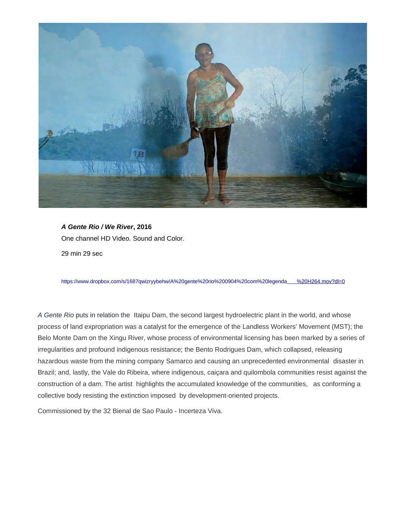

*A Gente Rio / We River***, 2016** One channel HD Video. Sound and Color. 29 min 29 sec

https://www.dropbox.com/s/1687qwizryybehw/A%20gente%20rio%200904%20com%20legend[a %20H264.mov?dl=0](https://www.dropbox.com/s/1687qwizryybehw/A%20gente%20rio%200904%20com%20legenda%20H264.mov?dl=0)

*A Gente Rio* puts in relation the Itaipu Dam, the second largest hydroelectric plant in the world, and whose process of land expropriation was a catalyst for the emergence of the Landless Workers' Movement (MST); the Belo Monte Dam on the Xingu River, whose process of environmental licensing has been marked by a series of irregularities and profound indigenous resistance; the Bento Rodrigues Dam, which collapsed, releasing hazardous waste from the mining company Samarco and causing an unprecedented environmental disaster in Brazil; and, lastly, the Vale do Ribeira, where indigenous, caiçara and quilombola communities resist against the construction of a dam. The artist highlights the accumulated knowledge of the communities, as conforming a collective body resisting the extinction imposed by development-oriented projects.

Commissioned by the 32 Bienal de Sao Paulo - Incerteza Viva.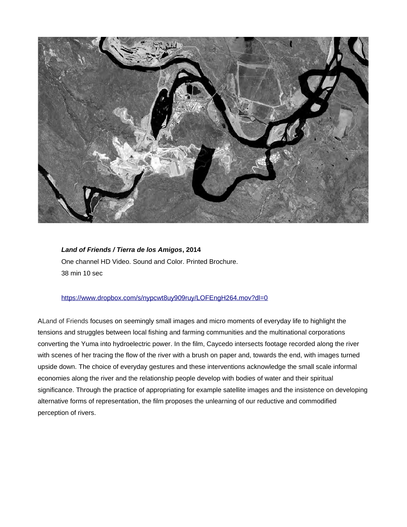

*Land of Friends / Tierra de los Amigos***, 2014**  One channel HD Video. Sound and Color. Printed Brochure. 38 min 10 sec

### <https://www.dropbox.com/s/nypcwt8uy909ruy/LOFEngH264.mov?dl=0>

ALand of Friends focuses on seemingly small images and micro moments of everyday life to highlight the tensions and struggles between local fishing and farming communities and the multinational corporations converting the Yuma into hydroelectric power. In the film, Caycedo intersects footage recorded along the river with scenes of her tracing the flow of the river with a brush on paper and, towards the end, with images turned upside down. The choice of everyday gestures and these interventions acknowledge the small scale informal economies along the river and the relationship people develop with bodies of water and their spiritual significance. Through the practice of appropriating for example satellite images and the insistence on developing alternative forms of representation, the film proposes the unlearning of our reductive and commodified perception of rivers.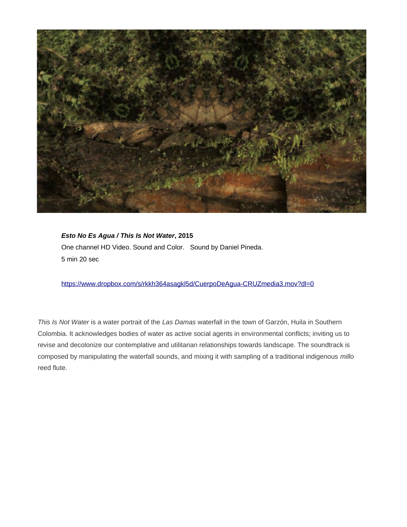

*Esto No Es Agua / This Is Not Water***, 2015**  One channel HD Video. Sound and Color. Sound by Daniel Pineda. 5 min 20 sec

<https://www.dropbox.com/s/rkkh364asagkl5d/CuerpoDeAgua-CRUZmedia3.mov?dl=0>

*This Is Not Water* is a water portrait of the *Las Damas* waterfall in the town of Garzón, Huila in Southern Colombia. It acknowledges bodies of water as active social agents in environmental conflicts; inviting us to revise and decolonize our contemplative and utilitarian relationships towards landscape. The soundtrack is composed by manipulating the waterfall sounds, and mixing it with sampling of a traditional indigenous *millo* reed flute.